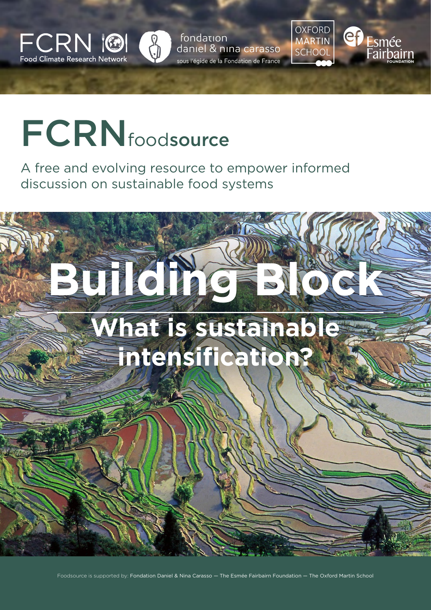

fondation daniel & nina carasso sous l'égide de la Fondation de France OXFORD<br>MARTIN **SCHOOL** 



# **FCRN**foodsource

[A free and evolving resource to empower informed](http://fcrn.org.uk)  discussion on sustainable food systems

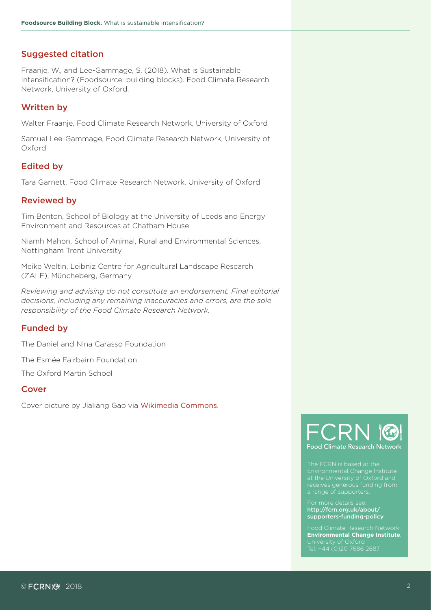#### Suggested citation

Fraanje, W., and Lee-Gammage, S. (2018). What is Sustainable Intensification? (Foodsource: building blocks). Food Climate Research Network, University of Oxford.

#### Written by

Walter Fraanje, Food Climate Research Network, University of Oxford

Samuel Lee-Gammage, Food Climate Research Network, University of Oxford

#### Edited by

Tara Garnett, Food Climate Research Network, University of Oxford

#### Reviewed by

Tim Benton, School of Biology at the University of Leeds and Energy Environment and Resources at Chatham House

Niamh Mahon, School of Animal, Rural and Environmental Sciences, Nottingham Trent University

Meike Weltin, Leibniz Centre for Agricultural Landscape Research (ZALF), Müncheberg, Germany

*Reviewing and advising do not constitute an endorsement. Final editorial decisions, including any remaining inaccuracies and errors, are the sole responsibility of the Food Climate Research Network.*

#### Funded by

The Daniel and Nina Carasso Foundation

The Esmée Fairbairn Foundation

The Oxford Martin School

#### **Cover**

Cover picture by Jialiang Gao via [Wikimedia Commons](https://commons.wikimedia.org/wiki/File:Terrace_field_yunnan_china_denoised.jpg).



Environmental Change Institute

For more details see: [http://fcrn.org.uk/about/](http://fcrn.org.uk/about/supporters-funding-policy) [supporters-funding-policy](http://fcrn.org.uk/about/supporters-funding-policy)

od Climate Research Network **[Environmental Change Institute](https://www.eci.ox.ac.uk/)**, Tel: +44 (0)20 7686 2687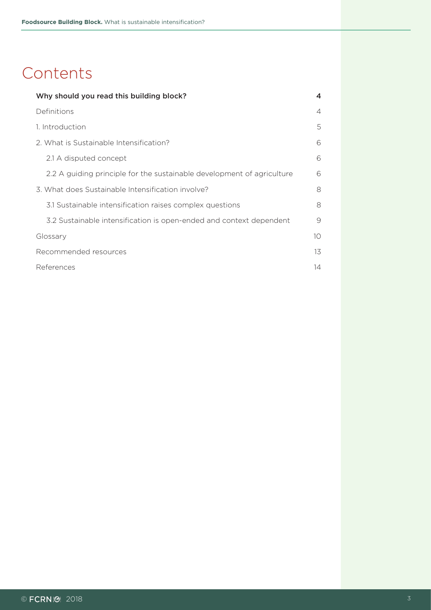# <span id="page-2-0"></span>**Contents**

| Why should you read this building block?                               | 4  |
|------------------------------------------------------------------------|----|
| Definitions                                                            | 4  |
| 1. Introduction                                                        | 5  |
| 2. What is Sustainable Intensification?                                | 6  |
| 2.1 A disputed concept                                                 | 6  |
| 2.2 A guiding principle for the sustainable development of agriculture | 6  |
| 3. What does Sustainable Intensification involve?                      | 8  |
| 3.1 Sustainable intensification raises complex questions               | 8  |
| 3.2 Sustainable intensification is open-ended and context dependent    | 9  |
| Glossary                                                               | 10 |
| Recommended resources                                                  | 13 |
| References                                                             | 14 |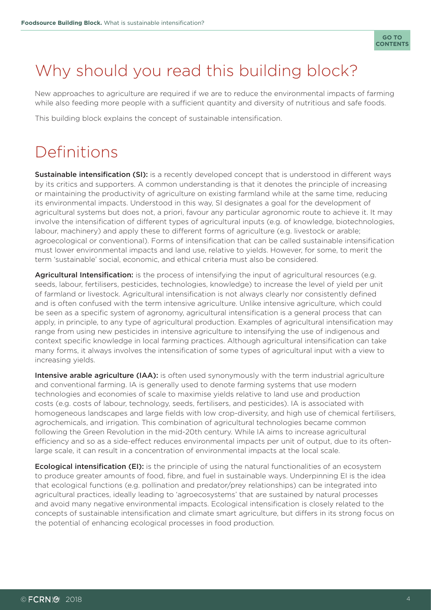

# <span id="page-3-0"></span>Why should you read this building block?

New approaches to agriculture are required if we are to reduce the environmental impacts of farming while also feeding more people with a sufficient quantity and diversity of nutritious and safe foods.

This building block explains the concept of sustainable intensification.

# Definitions

**Sustainable intensification (SI):** is a recently developed concept that is understood in different ways by its critics and supporters. A common understanding is that it denotes the principle of increasing or maintaining the productivity of agriculture on existing farmland while at the same time, reducing its environmental impacts. Understood in this way, SI designates a goal for the development of agricultural systems but does not, a priori, favour any particular agronomic route to achieve it. It may involve the intensification of different types of agricultural inputs (e.g. of knowledge, biotechnologies, labour, machinery) and apply these to different forms of agriculture (e.g. livestock or arable; agroecological or conventional). Forms of intensification that can be called sustainable intensification must lower environmental impacts and land use, relative to yields. However, for some, to merit the term 'sustainable' social, economic, and ethical criteria must also be considered.

Agricultural Intensification: is the process of intensifying the input of agricultural resources (e.g. seeds, labour, fertilisers, pesticides, technologies, knowledge) to increase the level of yield per unit of farmland or livestock. Agricultural intensification is not always clearly nor consistently defined and is often confused with the term intensive agriculture. Unlike intensive agriculture, which could be seen as a specific system of agronomy, agricultural intensification is a general process that can apply, in principle, to any type of agricultural production. Examples of agricultural intensification may range from using new pesticides in intensive agriculture to intensifying the use of indigenous and context specific knowledge in local farming practices. Although agricultural intensification can take many forms, it always involves the intensification of some types of agricultural input with a view to increasing yields.

Intensive arable agriculture (IAA): is often used synonymously with the term industrial agriculture and conventional farming. IA is generally used to denote farming systems that use modern technologies and economies of scale to maximise yields relative to land use and production costs (e.g. costs of labour, technology, seeds, fertilisers, and pesticides). IA is associated with homogeneous landscapes and large fields with low crop-diversity, and high use of chemical fertilisers, agrochemicals, and irrigation. This combination of agricultural technologies became common following the Green Revolution in the mid-20th century. While IA aims to increase agricultural efficiency and so as a side-effect reduces environmental impacts per unit of output, due to its oftenlarge scale, it can result in a concentration of environmental impacts at the local scale.

**Ecological intensification (EI):** is the principle of using the natural functionalities of an ecosystem to produce greater amounts of food, fibre, and fuel in sustainable ways. Underpinning EI is the idea that ecological functions (e.g. pollination and predator/prey relationships) can be integrated into agricultural practices, ideally leading to 'agroecosystems' that are sustained by natural processes and avoid many negative environmental impacts. Ecological intensification is closely related to the concepts of sustainable intensification and climate smart agriculture, but differs in its strong focus on the potential of enhancing ecological processes in food production.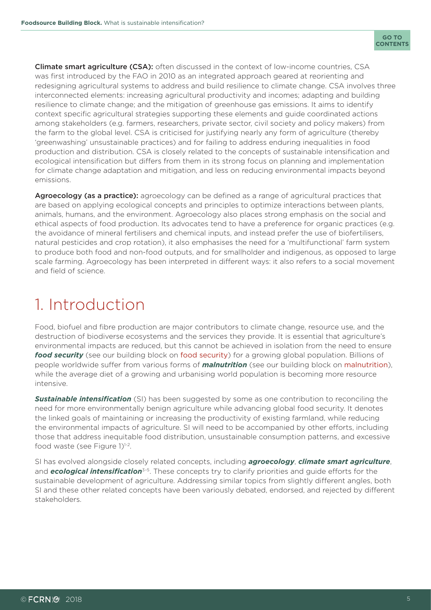

<span id="page-4-0"></span>Climate smart agriculture (CSA): often discussed in the context of low-income countries, CSA was first introduced by the FAO in 2010 as an integrated approach geared at reorienting and redesigning agricultural systems to address and build resilience to climate change. CSA involves three interconnected elements: increasing agricultural productivity and incomes; adapting and building resilience to climate change; and the mitigation of greenhouse gas emissions. It aims to identify context specific agricultural strategies supporting these elements and guide coordinated actions among stakeholders (e.g. farmers, researchers, private sector, civil society and policy makers) from the farm to the global level. CSA is criticised for justifying nearly any form of agriculture (thereby 'greenwashing' unsustainable practices) and for failing to address enduring inequalities in food production and distribution. CSA is closely related to the concepts of sustainable intensification and ecological intensification but differs from them in its strong focus on planning and implementation for climate change adaptation and mitigation, and less on reducing environmental impacts beyond emissions.

Agroecology (as a practice): agroecology can be defined as a range of agricultural practices that are based on applying ecological concepts and principles to optimize interactions between plants, animals, humans, and the environment. Agroecology also places strong emphasis on the social and ethical aspects of food production. Its advocates tend to have a preference for organic practices (e.g. the avoidance of mineral fertilisers and chemical inputs, and instead prefer the use of biofertilisers, natural pesticides and crop rotation), it also emphasises the need for a 'multifunctional' farm system to produce both food and non-food outputs, and for smallholder and indigenous, as opposed to large scale farming. Agroecology has been interpreted in different ways: it also refers to a social movement and field of science.

# 1. Introduction

Food, biofuel and fibre production are major contributors to climate change, resource use, and the destruction of biodiverse ecosystems and the services they provide. It is essential that agriculture's environmental impacts are reduced, but this cannot be achieved in isolation from the need to ensure *[food security](#page-10-0)* (see our building block on [food security](https://foodsource.org.uk/building-blocks/what-food-security)) for a growing global population. Billions of people worldwide suffer from various forms of *[malnutrition](#page-11-0)* (see our building block on [malnutrition](https://foodsource.org.uk/building-blocks/what-malnutrition)), while the average diet of a growing and urbanising world population is becoming more resource intensive.

**[Sustainable intensification](#page-11-1)** (SI) has been suggested by some as one contribution to reconciling the need for more environmentally benign agriculture while advancing global food security. It denotes the linked goals of maintaining or increasing the productivity of existing farmland, while reducing the environmental impacts of agriculture. SI will need to be accompanied by other efforts, including those that address inequitable food distribution, unsustainable consumption patterns, and excessive food waste (see Figure 1)<sup>1-2</sup>.

SI has evolved alongside closely related concepts, including *[agroecology](#page-9-1)*, *[climate smart agriculture](#page-9-2)*, and **[ecological intensification](#page-10-1)**<sup>3-5</sup>. These concepts try to clarify priorities and guide efforts for the sustainable development of agriculture. Addressing similar topics from slightly different angles, both SI and these other related concepts have been variously debated, endorsed, and rejected by different stakeholders.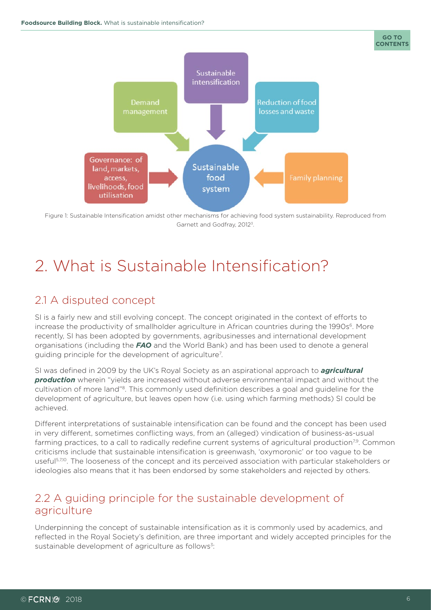<span id="page-5-0"></span>

Figure 1: Sustainable Intensification amidst other mechanisms for achieving food system sustainability. Reproduced from Garnett and Godfray, 2012<sup>3</sup>.

# 2. What is Sustainable Intensification?

### 2.1 A disputed concept

SI is a fairly new and still evolving concept. The concept originated in the context of efforts to increase the productivity of smallholder agriculture in African countries during the 1990s<sup>6</sup>. More recently, SI has been adopted by governments, agribusinesses and international development organisations (including the *[FAO](#page-11-2)* and the World Bank) and has been used to denote a general guiding principle for the development of agriculture<sup>7</sup>.

SI was defined in 2009 by the UK's Royal Society as an aspirational approach to *[agricultural](#page-9-3)  [production](#page-9-3)* wherein "yields are increased without adverse environmental impact and without the cultivation of more land"8. This commonly used definition describes a goal and guideline for the development of agriculture, but leaves open how (i.e. using which farming methods) SI could be achieved.

Different interpretations of sustainable intensification can be found and the concept has been used in very different, sometimes conflicting ways, from an (alleged) vindication of business-as-usual farming practices, to a call to radically redefine current systems of agricultural production<sup>7,9</sup>. Common criticisms include that sustainable intensification is greenwash, 'oxymoronic' or too vague to be useful<sup>5,7,10</sup>. The looseness of the concept and its perceived association with particular stakeholders or ideologies also means that it has been endorsed by some stakeholders and rejected by others.

### 2.2 A guiding principle for the sustainable development of agriculture

Underpinning the concept of sustainable intensification as it is commonly used by academics, and reflected in the Royal Society's definition, are three important and widely accepted principles for the sustainable development of agriculture as follows<sup>3</sup>:

**GO TO [CONTENTS](#page-2-0)**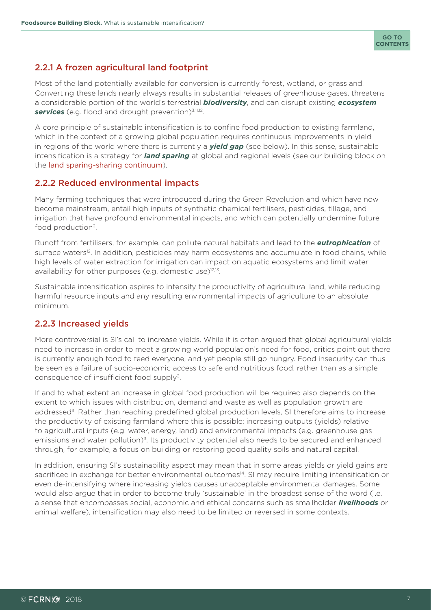

### 2.2.1 A frozen agricultural land footprint

Most of the land potentially available for conversion is currently forest, wetland, or grassland. Converting these lands nearly always results in substantial releases of greenhouse gases, threatens a considerable portion of the world's terrestrial *[biodiversity](#page-9-4)*, and can disrupt existing *[ecosystem](#page-10-2)*  **[services](#page-10-2)** (e.g. flood and drought prevention)<sup>3,11,12</sup>.

A core principle of sustainable intensification is to confine food production to existing farmland, which in the context of a growing global population requires continuous improvements in yield in regions of the world where there is currently a *[yield gap](#page-11-3)* (see below). In this sense, sustainable intensification is a strategy for *[land sparing](#page-10-3)* at global and regional levels (see our building block on the [land sparing-sharing continuum](https://foodsource.org.uk/building-blocks/what-land-sparing-sharing-continuum)).

### 2.2.2 Reduced environmental impacts

Many farming techniques that were introduced during the Green Revolution and which have now become mainstream, entail high inputs of synthetic chemical fertilisers, pesticides, tillage, and irrigation that have profound environmental impacts, and which can potentially undermine future food production<sup>3</sup>.

Runoff from fertilisers, for example, can pollute natural habitats and lead to the *[eutrophication](#page-10-4)* of surface waters<sup>12</sup>. In addition, pesticides may harm ecosystems and accumulate in food chains, while high levels of water extraction for irrigation can impact on aquatic ecosystems and limit water availability for other purposes (e.g. domestic use)<sup>12,13</sup>.

Sustainable intensification aspires to intensify the productivity of agricultural land, while reducing harmful resource inputs and any resulting environmental impacts of agriculture to an absolute minimum.

### 2.2.3 Increased yields

More controversial is SI's call to increase yields. While it is often argued that global agricultural yields need to increase in order to meet a growing world population's need for food, critics point out there is currently enough food to feed everyone, and yet people still go hungry. Food insecurity can thus be seen as a failure of socio-economic access to safe and nutritious food, rather than as a simple consequence of insufficient food supply<sup>3</sup>.

If and to what extent an increase in global food production will be required also depends on the extent to which issues with distribution, demand and waste as well as population growth are addressed<sup>3</sup>. Rather than reaching predefined global production levels, SI therefore aims to increase the productivity of existing farmland where this is possible: increasing outputs (yields) relative to agricultural inputs (e.g. water, energy, land) and environmental impacts (e.g. greenhouse gas emissions and water pollution<sup>3</sup>. Its productivity potential also needs to be secured and enhanced through, for example, a focus on building or restoring good quality soils and natural capital.

In addition, ensuring SI's sustainability aspect may mean that in some areas yields or yield gains are sacrificed in exchange for better environmental outcomes<sup>14</sup>. SI may require limiting intensification or even de-intensifying where increasing yields causes unacceptable environmental damages. Some would also argue that in order to become truly 'sustainable' in the broadest sense of the word (i.e. a sense that encompasses social, economic and ethical concerns such as smallholder *[livelihoods](#page-10-5)* or animal welfare), intensification may also need to be limited or reversed in some contexts.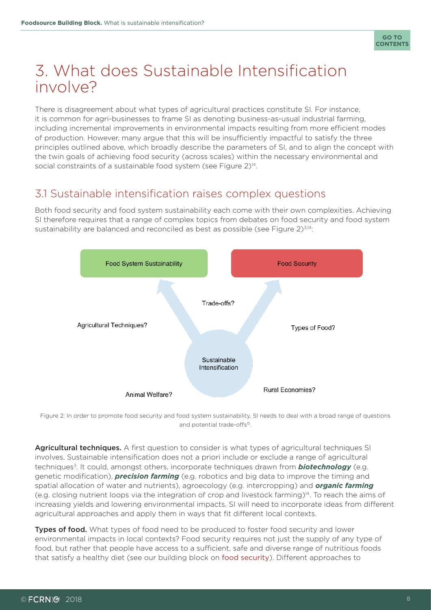

### <span id="page-7-0"></span>3. What does Sustainable Intensification involve?

There is disagreement about what types of agricultural practices constitute SI. For instance, it is common for agri-businesses to frame SI as denoting business-as-usual industrial farming, including incremental improvements in environmental impacts resulting from more efficient modes of production. However, many argue that this will be insufficiently impactful to satisfy the three principles outlined above, which broadly describe the parameters of SI, and to align the concept with the twin goals of achieving food security (across scales) within the necessary environmental and social constraints of a sustainable food system (see Figure 2)<sup>14</sup>.

### 3.1 Sustainable intensification raises complex questions

Both food security and food system sustainability each come with their own complexities. Achieving SI therefore requires that a range of complex topics from debates on food security and food system sustainability are balanced and reconciled as best as possible (see Figure 2)<sup>3,14</sup>:



Figure 2: In order to promote food security and food system sustainability, SI needs to deal with a broad range of questions and potential trade-offs<sup>15</sup>.

Agricultural techniques. A first question to consider is what types of agricultural techniques SI involves. Sustainable intensification does not a priori include or exclude a range of agricultural techniques<sup>3</sup>. It could, amongst others, incorporate techniques drawn from **[biotechnology](#page-9-5)** (e.g. genetic modification), *[precision farming](#page-11-4)* (e.g. robotics and big data to improve the timing and spatial allocation of water and nutrients), agroecology (e.g. intercropping) and *[organic farming](#page-11-5)* (e.g. closing nutrient loops via the integration of crop and livestock farming)14. To reach the aims of increasing yields and lowering environmental impacts, SI will need to incorporate ideas from different agricultural approaches and apply them in ways that fit different local contexts.

Types of food. What types of food need to be produced to foster food security and lower environmental impacts in local contexts? Food security requires not just the supply of any type of food, but rather that people have access to a sufficient, safe and diverse range of nutritious foods that satisfy a healthy diet (see our building block on [food security](https://foodsource.org.uk/building-blocks/what-food-security)). Different approaches to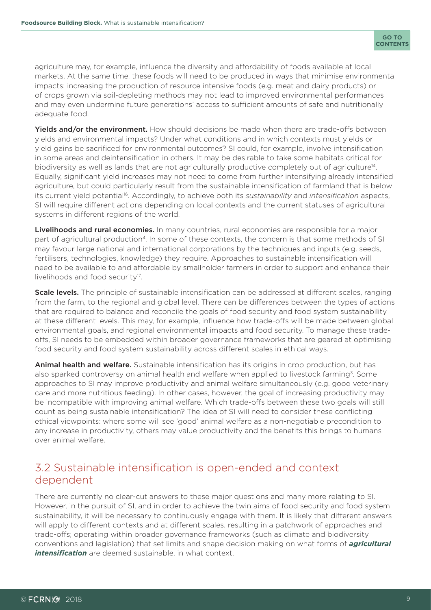

<span id="page-8-0"></span>agriculture may, for example, influence the diversity and affordability of foods available at local markets. At the same time, these foods will need to be produced in ways that minimise environmental impacts: increasing the production of resource intensive foods (e.g. meat and dairy products) or of crops grown via soil-depleting methods may not lead to improved environmental performances and may even undermine future generations' access to sufficient amounts of safe and nutritionally adequate food.

Yields and/or the environment. How should decisions be made when there are trade-offs between yields and environmental impacts? Under what conditions and in which contexts must yields or yield gains be sacrificed for environmental outcomes? SI could, for example, involve intensification in some areas and deintensification in others. It may be desirable to take some habitats critical for biodiversity as well as lands that are not agriculturally productive completely out of agriculture<sup>14</sup>. Equally, significant yield increases may not need to come from further intensifying already intensified agriculture, but could particularly result from the sustainable intensification of farmland that is below its current yield potential16. Accordingly, to achieve both its *sustainability* and *intensification* aspects, SI will require different actions depending on local contexts and the current statuses of agricultural systems in different regions of the world.

Livelihoods and rural economies. In many countries, rural economies are responsible for a major part of agricultural production<sup>4</sup>. In some of these contexts, the concern is that some methods of SI may favour large national and international corporations by the techniques and inputs (e.g. seeds, fertilisers, technologies, knowledge) they require. Approaches to sustainable intensification will need to be available to and affordable by smallholder farmers in order to support and enhance their livelihoods and food security<sup>17</sup>.

**Scale levels.** The principle of sustainable intensification can be addressed at different scales, ranging from the farm, to the regional and global level. There can be differences between the types of actions that are required to balance and reconcile the goals of food security and food system sustainability at these different levels. This may, for example, influence how trade-offs will be made between global environmental goals, and regional environmental impacts and food security. To manage these tradeoffs, SI needs to be embedded within broader governance frameworks that are geared at optimising food security and food system sustainability across different scales in ethical ways.

Animal health and welfare. Sustainable intensification has its origins in crop production, but has also sparked controversy on animal health and welfare when applied to livestock farming<sup>3</sup>. Some approaches to SI may improve productivity and animal welfare simultaneously (e.g. good veterinary care and more nutritious feeding). In other cases, however, the goal of increasing productivity may be incompatible with improving animal welfare. Which trade-offs between these two goals will still count as being sustainable intensification? The idea of SI will need to consider these conflicting ethical viewpoints: where some will see 'good' animal welfare as a non-negotiable precondition to any increase in productivity, others may value productivity and the benefits this brings to humans over animal welfare.

### 3.2 Sustainable intensification is open-ended and context dependent

There are currently no clear-cut answers to these major questions and many more relating to SI. However, in the pursuit of SI, and in order to achieve the twin aims of food security and food system sustainability, it will be necessary to continuously engage with them. It is likely that different answers will apply to different contexts and at different scales, resulting in a patchwork of approaches and trade-offs; operating within broader governance frameworks (such as climate and biodiversity conventions and legislation) that set limits and shape decision making on what forms of *[agricultural](#page-9-6)  [intensification](#page-9-6)* are deemed sustainable, in what context.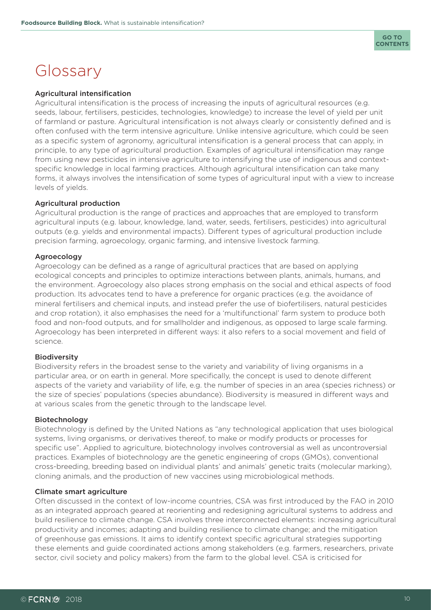

### <span id="page-9-0"></span>Glossary

#### <span id="page-9-6"></span>Agricultural intensification

Agricultural intensification is the process of increasing the inputs of agricultural resources (e.g. seeds, labour, fertilisers, pesticides, technologies, knowledge) to increase the level of yield per unit of farmland or pasture. Agricultural intensification is not always clearly or consistently defined and is often confused with the term intensive agriculture. Unlike intensive agriculture, which could be seen as a specific system of agronomy, agricultural intensification is a general process that can apply, in principle, to any type of agricultural production. Examples of agricultural intensification may range from using new pesticides in intensive agriculture to intensifying the use of indigenous and contextspecific knowledge in local farming practices. Although agricultural intensification can take many forms, it always involves the intensification of some types of agricultural input with a view to increase levels of yields.

#### <span id="page-9-3"></span>Agricultural production

Agricultural production is the range of practices and approaches that are employed to transform agricultural inputs (e.g. labour, knowledge, land, water, seeds, fertilisers, pesticides) into agricultural outputs (e.g. yields and environmental impacts). Different types of agricultural production include precision farming, agroecology, organic farming, and intensive livestock farming.

#### <span id="page-9-1"></span>Agroecology

Agroecology can be defined as a range of agricultural practices that are based on applying ecological concepts and principles to optimize interactions between plants, animals, humans, and the environment. Agroecology also places strong emphasis on the social and ethical aspects of food production. Its advocates tend to have a preference for organic practices (e.g. the avoidance of mineral fertilisers and chemical inputs, and instead prefer the use of biofertilisers, natural pesticides and crop rotation), it also emphasises the need for a 'multifunctional' farm system to produce both food and non-food outputs, and for smallholder and indigenous, as opposed to large scale farming. Agroecology has been interpreted in different ways: it also refers to a social movement and field of science.

#### <span id="page-9-4"></span>Biodiversity

Biodiversity refers in the broadest sense to the variety and variability of living organisms in a particular area, or on earth in general. More specifically, the concept is used to denote different aspects of the variety and variability of life, e.g. the number of species in an area (species richness) or the size of species' populations (species abundance). Biodiversity is measured in different ways and at various scales from the genetic through to the landscape level.

#### <span id="page-9-5"></span>Biotechnology

Biotechnology is defined by the United Nations as "any technological application that uses biological systems, living organisms, or derivatives thereof, to make or modify products or processes for specific use". Applied to agriculture, biotechnology involves controversial as well as uncontroversial practices. Examples of biotechnology are the genetic engineering of crops (GMOs), conventional cross-breeding, breeding based on individual plants' and animals' genetic traits (molecular marking), cloning animals, and the production of new vaccines using microbiological methods.

#### <span id="page-9-2"></span>Climate smart agriculture

Often discussed in the context of low-income countries, CSA was first introduced by the FAO in 2010 as an integrated approach geared at reorienting and redesigning agricultural systems to address and build resilience to climate change. CSA involves three interconnected elements: increasing agricultural productivity and incomes; adapting and building resilience to climate change; and the mitigation of greenhouse gas emissions. It aims to identify context specific agricultural strategies supporting these elements and guide coordinated actions among stakeholders (e.g. farmers, researchers, private sector, civil society and policy makers) from the farm to the global level. CSA is criticised for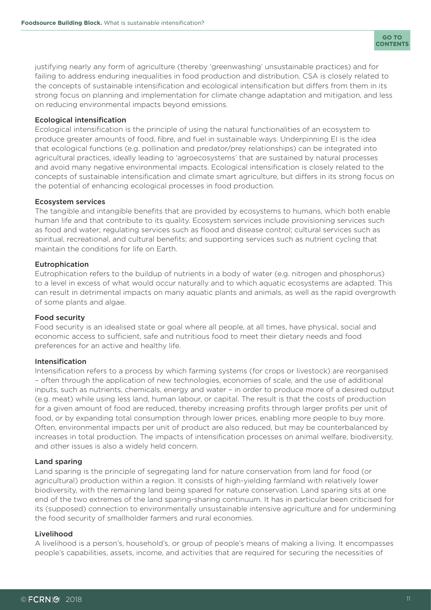

justifying nearly any form of agriculture (thereby 'greenwashing' unsustainable practices) and for failing to address enduring inequalities in food production and distribution. CSA is closely related to the concepts of sustainable intensification and ecological intensification but differs from them in its strong focus on planning and implementation for climate change adaptation and mitigation, and less on reducing environmental impacts beyond emissions.

#### <span id="page-10-1"></span>Ecological intensification

Ecological intensification is the principle of using the natural functionalities of an ecosystem to produce greater amounts of food, fibre, and fuel in sustainable ways. Underpinning EI is the idea that ecological functions (e.g. pollination and predator/prey relationships) can be integrated into agricultural practices, ideally leading to 'agroecosystems' that are sustained by natural processes and avoid many negative environmental impacts. Ecological intensification is closely related to the concepts of sustainable intensification and climate smart agriculture, but differs in its strong focus on the potential of enhancing ecological processes in food production.

#### <span id="page-10-2"></span>Ecosystem services

The tangible and intangible benefits that are provided by ecosystems to humans, which both enable human life and that contribute to its quality. Ecosystem services include provisioning services such as food and water; regulating services such as flood and disease control; cultural services such as spiritual, recreational, and cultural benefits; and supporting services such as nutrient cycling that maintain the conditions for life on Earth.

#### <span id="page-10-4"></span>Eutrophication

Eutrophication refers to the buildup of nutrients in a body of water (e.g. nitrogen and phosphorus) to a level in excess of what would occur naturally and to which aquatic ecosystems are adapted. This can result in detrimental impacts on many aquatic plants and animals, as well as the rapid overgrowth of some plants and algae.

#### <span id="page-10-0"></span>Food security

Food security is an idealised state or goal where all people, at all times, have physical, social and economic access to sufficient, safe and nutritious food to meet their dietary needs and food preferences for an active and healthy life.

#### Intensification

Intensification refers to a process by which farming systems (for crops or livestock) are reorganised – often through the application of new technologies, economies of scale, and the use of additional inputs, such as nutrients, chemicals, energy and water – in order to produce more of a desired output (e.g. meat) while using less land, human labour, or capital. The result is that the costs of production for a given amount of food are reduced, thereby increasing profits through larger profits per unit of food, or by expanding total consumption through lower prices, enabling more people to buy more. Often, environmental impacts per unit of product are also reduced, but may be counterbalanced by increases in total production. The impacts of intensification processes on animal welfare, biodiversity, and other issues is also a widely held concern.

#### <span id="page-10-3"></span>Land sparing

Land sparing is the principle of segregating land for nature conservation from land for food (or agricultural) production within a region. It consists of high-yielding farmland with relatively lower biodiversity, with the remaining land being spared for nature conservation. Land sparing sits at one end of the two extremes of the land sparing-sharing continuum. It has in particular been criticised for its (supposed) connection to environmentally unsustainable intensive agriculture and for undermining the food security of smallholder farmers and rural economies.

#### <span id="page-10-5"></span>Livelihood

A livelihood is a person's, household's, or group of people's means of making a living. It encompasses people's capabilities, assets, income, and activities that are required for securing the necessities of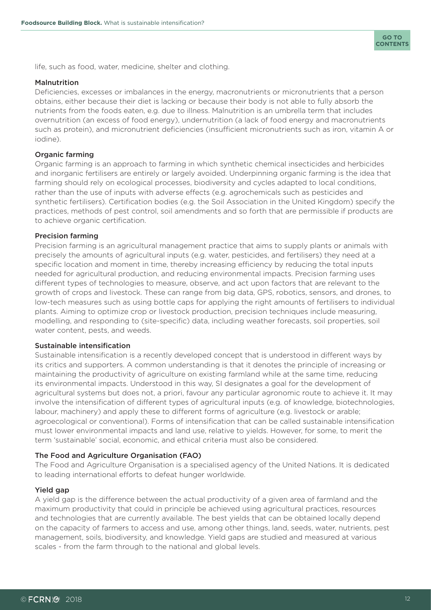<span id="page-11-0"></span>

life, such as food, water, medicine, shelter and clothing.

#### Malnutrition

Deficiencies, excesses or imbalances in the energy, macronutrients or micronutrients that a person obtains, either because their diet is lacking or because their body is not able to fully absorb the nutrients from the foods eaten, e.g. due to illness. Malnutrition is an umbrella term that includes overnutrition (an excess of food energy), undernutrition (a lack of food energy and macronutrients such as protein), and micronutrient deficiencies (insufficient micronutrients such as iron, vitamin A or iodine).

#### <span id="page-11-5"></span>Organic farming

Organic farming is an approach to farming in which synthetic chemical insecticides and herbicides and inorganic fertilisers are entirely or largely avoided. Underpinning organic farming is the idea that farming should rely on ecological processes, biodiversity and cycles adapted to local conditions, rather than the use of inputs with adverse effects (e.g. agrochemicals such as pesticides and synthetic fertilisers). Certification bodies (e.g. the Soil Association in the United Kingdom) specify the practices, methods of pest control, soil amendments and so forth that are permissible if products are to achieve organic certification.

#### <span id="page-11-4"></span>Precision farming

Precision farming is an agricultural management practice that aims to supply plants or animals with precisely the amounts of agricultural inputs (e.g. water, pesticides, and fertilisers) they need at a specific location and moment in time, thereby increasing efficiency by reducing the total inputs needed for agricultural production, and reducing environmental impacts. Precision farming uses different types of technologies to measure, observe, and act upon factors that are relevant to the growth of crops and livestock. These can range from big data, GPS, robotics, sensors, and drones, to low-tech measures such as using bottle caps for applying the right amounts of fertilisers to individual plants. Aiming to optimize crop or livestock production, precision techniques include measuring, modelling, and responding to (site-specific) data, including weather forecasts, soil properties, soil water content, pests, and weeds.

#### <span id="page-11-1"></span>Sustainable intensification

Sustainable intensification is a recently developed concept that is understood in different ways by its critics and supporters. A common understanding is that it denotes the principle of increasing or maintaining the productivity of agriculture on existing farmland while at the same time, reducing its environmental impacts. Understood in this way, SI designates a goal for the development of agricultural systems but does not, a priori, favour any particular agronomic route to achieve it. It may involve the intensification of different types of agricultural inputs (e.g. of knowledge, biotechnologies, labour, machinery) and apply these to different forms of agriculture (e.g. livestock or arable; agroecological or conventional). Forms of intensification that can be called sustainable intensification must lower environmental impacts and land use, relative to yields. However, for some, to merit the term 'sustainable' social, economic, and ethical criteria must also be considered.

#### <span id="page-11-2"></span>The Food and Agriculture Organisation (FAO)

The Food and Agriculture Organisation is a specialised agency of the United Nations. It is dedicated to leading international efforts to defeat hunger worldwide.

#### <span id="page-11-3"></span>Yield gap

A yield gap is the difference between the actual productivity of a given area of farmland and the maximum productivity that could in principle be achieved using agricultural practices, resources and technologies that are currently available. The best yields that can be obtained locally depend on the capacity of farmers to access and use, among other things, land, seeds, water, nutrients, pest management, soils, biodiversity, and knowledge. Yield gaps are studied and measured at various scales - from the farm through to the national and global levels.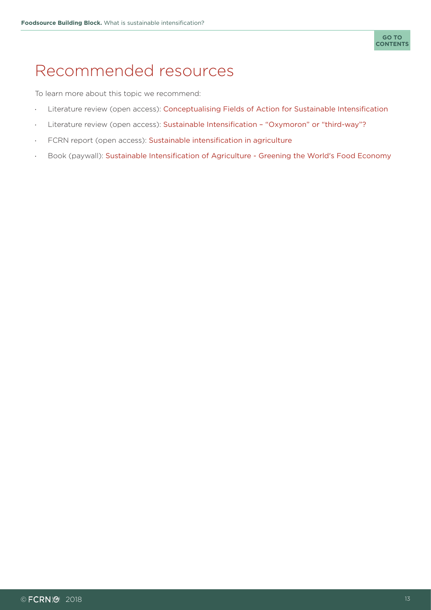# <span id="page-12-0"></span>Recommended resources

To learn more about this topic we recommend:

- · Literature review (open access): [Conceptualising Fields of Action for Sustainable Intensification](https://www.sciencedirect.com/science/article/pii/S0167880918300458)
- · Literature review (open access): [Sustainable Intensification "Oxymoron" or "third-way"?](https://www.sciencedirect.com/science/article/pii/S1470160X16306380)
- FCRN report (open access): [Sustainable intensification in agriculture](https://www.fcrn.org.uk/sites/default/files/SI_report_final.pdf)
- · Book (paywall): [Sustainable Intensification of Agriculture Greening the World's Food Economy](https://www.routledge.com/Sustainable-Intensification-of-Agriculture-Greening-the-Worlds-Food-Economy/Pretty-Bharucha/p/book/9781138196025)